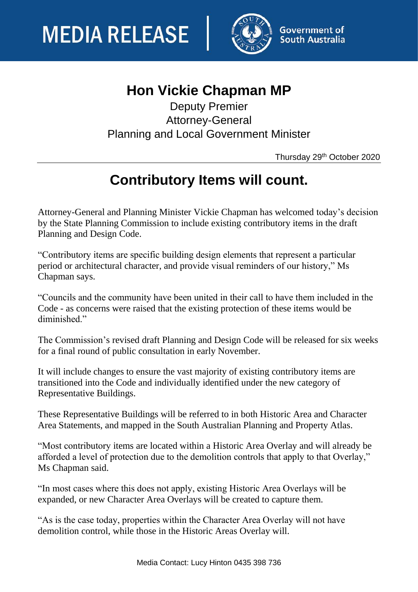

## **Hon Vickie Chapman MP**

Deputy Premier Attorney-General Planning and Local Government Minister

Thursday 29th October 2020

## **Contributory Items will count.**

Attorney-General and Planning Minister Vickie Chapman has welcomed today's decision by the State Planning Commission to include existing contributory items in the draft Planning and Design Code.

"Contributory items are specific building design elements that represent a particular period or architectural character, and provide visual reminders of our history," Ms Chapman says.

"Councils and the community have been united in their call to have them included in the Code - as concerns were raised that the existing protection of these items would be diminished."

The Commission's revised draft Planning and Design Code will be released for six weeks for a final round of public consultation in early November.

It will include changes to ensure the vast majority of existing contributory items are transitioned into the Code and individually identified under the new category of Representative Buildings.

These Representative Buildings will be referred to in both Historic Area and Character Area Statements, and mapped in the South Australian Planning and Property Atlas.

"Most contributory items are located within a Historic Area Overlay and will already be afforded a level of protection due to the demolition controls that apply to that Overlay," Ms Chapman said.

"In most cases where this does not apply, existing Historic Area Overlays will be expanded, or new Character Area Overlays will be created to capture them.

"As is the case today, properties within the Character Area Overlay will not have demolition control, while those in the Historic Areas Overlay will.